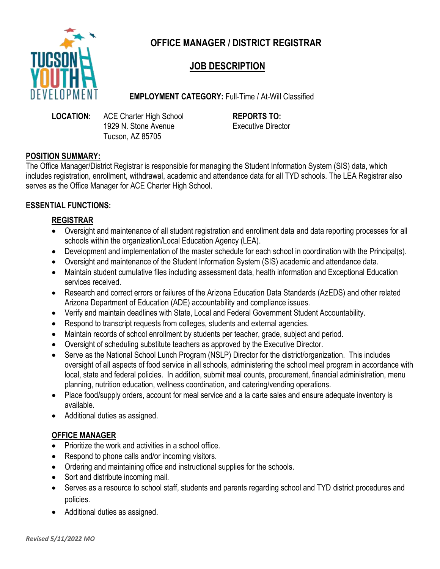

# **OFFICE MANAGER / DISTRICT REGISTRAR**

# **JOB DESCRIPTION**

**EMPLOYMENT CATEGORY:** Full-Time / At-Will Classified

**LOCATION:** ACE Charter High School **REPORTS TO:** 1929 N. Stone Avenue Executive Director Tucson, AZ 85705

### **POSITION SUMMARY:**

The Office Manager/District Registrar is responsible for managing the Student Information System (SIS) data, which includes registration, enrollment, withdrawal, academic and attendance data for all TYD schools. The LEA Registrar also serves as the Office Manager for ACE Charter High School.

## **ESSENTIAL FUNCTIONS:**

## **REGISTRAR**

- Oversight and maintenance of all student registration and enrollment data and data reporting processes for all schools within the organization/Local Education Agency (LEA).
- Development and implementation of the master schedule for each school in coordination with the Principal(s).
- Oversight and maintenance of the Student Information System (SIS) academic and attendance data.
- Maintain student cumulative files including assessment data, health information and Exceptional Education services received.
- Research and correct errors or failures of the Arizona Education Data Standards (AzEDS) and other related Arizona Department of Education (ADE) accountability and compliance issues.
- Verify and maintain deadlines with State, Local and Federal Government Student Accountability.
- Respond to transcript requests from colleges, students and external agencies.
- Maintain records of school enrollment by students per teacher, grade, subject and period.
- Oversight of scheduling substitute teachers as approved by the Executive Director.
- Serve as the National School Lunch Program (NSLP) Director for the district/organization. This includes oversight of all aspects of food service in all schools, administering the school meal program in accordance with local, state and federal policies. In addition, submit meal counts, procurement, financial administration, menu planning, nutrition education, wellness coordination, and catering/vending operations.
- Place food/supply orders, account for meal service and a la carte sales and ensure adequate inventory is available.
- Additional duties as assigned.

## **OFFICE MANAGER**

- Prioritize the work and activities in a school office.
- Respond to phone calls and/or incoming visitors.
- Ordering and maintaining office and instructional supplies for the schools.
- Sort and distribute incoming mail.
- Serves as a resource to school staff, students and parents regarding school and TYD district procedures and policies.
- Additional duties as assigned.